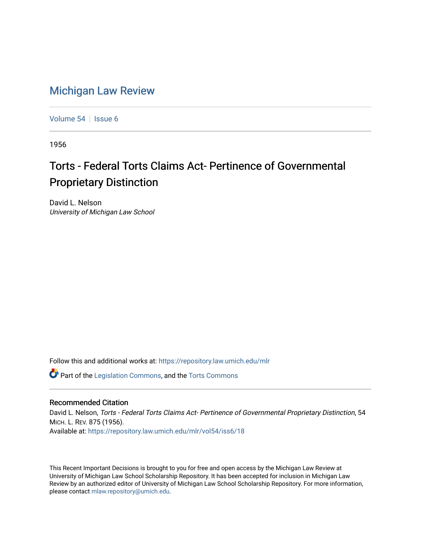## [Michigan Law Review](https://repository.law.umich.edu/mlr)

[Volume 54](https://repository.law.umich.edu/mlr/vol54) | [Issue 6](https://repository.law.umich.edu/mlr/vol54/iss6)

1956

## Torts - Federal Torts Claims Act- Pertinence of Governmental Proprietary Distinction

David L. Nelson University of Michigan Law School

Follow this and additional works at: [https://repository.law.umich.edu/mlr](https://repository.law.umich.edu/mlr?utm_source=repository.law.umich.edu%2Fmlr%2Fvol54%2Fiss6%2F18&utm_medium=PDF&utm_campaign=PDFCoverPages) 

Part of the [Legislation Commons](http://network.bepress.com/hgg/discipline/859?utm_source=repository.law.umich.edu%2Fmlr%2Fvol54%2Fiss6%2F18&utm_medium=PDF&utm_campaign=PDFCoverPages), and the [Torts Commons](http://network.bepress.com/hgg/discipline/913?utm_source=repository.law.umich.edu%2Fmlr%2Fvol54%2Fiss6%2F18&utm_medium=PDF&utm_campaign=PDFCoverPages)

## Recommended Citation

David L. Nelson, Torts - Federal Torts Claims Act- Pertinence of Governmental Proprietary Distinction, 54 MICH. L. REV. 875 (1956). Available at: [https://repository.law.umich.edu/mlr/vol54/iss6/18](https://repository.law.umich.edu/mlr/vol54/iss6/18?utm_source=repository.law.umich.edu%2Fmlr%2Fvol54%2Fiss6%2F18&utm_medium=PDF&utm_campaign=PDFCoverPages) 

This Recent Important Decisions is brought to you for free and open access by the Michigan Law Review at University of Michigan Law School Scholarship Repository. It has been accepted for inclusion in Michigan Law Review by an authorized editor of University of Michigan Law School Scholarship Repository. For more information, please contact [mlaw.repository@umich.edu.](mailto:mlaw.repository@umich.edu)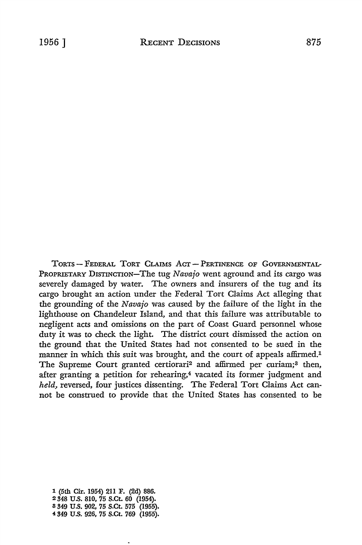TORTS - FEDERAL TORT CLAIMS ACT - PERTINENCE OF GOVERNMENTAL-PROPRIETARY DISTINCTION-The tug *Navajo* went aground and its cargo was severely damaged by water. The owners and insurers of the tug and its cargo brought an action under the Federal Tort Claims Act alleging that the grounding of the *Navajo* was caused by the failure of the light in the lighthouse on Chandeleur Island, and that this failure was attributable to negligent acts and omissions on the part of Coast Guard personnel whose duty it was to check the light. The district court dismissed the action on the ground that the United States had not consented to be sued in the manner in which this suit was brought, and the court of appeals affirmed.<sup>1</sup> The Supreme Court granted certiorari<sup>2</sup> and affirmed per curiam;<sup>3</sup> then, after granting a petition for rehearing,<sup>4</sup> vacated its former judgment and *held,* reversed, four justices dissenting. The Federal Tort Claims Act cannot be construed to provide that the United States has consented to be

1 (5th Cir. 1954) 211 F. (2d) 886. 2 348 U.S. 810, 75 S.Ct. 60 (1954). 8 349 U.S. 902, 75 S.Ct. 575 (1955). -¼ 349 U.S. 926, 75 S.Ct. 769 (1955).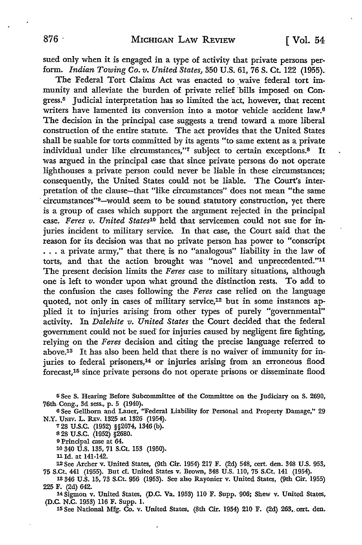sued only when it is engaged in a type of activity that private persons perform. *Indian Towing Co. v. United States,* 350 U.S. 61, 76 S. Ct. 122 (1955).

The Federal Tort Claims Act was enacted to waive federal tort immunity and alleviate the burden of private relief bills imposed on Congress.<sup>5</sup> Judicial interpretation has so limited the act, however, that recent writers have lamented its conversion into a motor vehicle accident law.<sup>6</sup> The decision in the principal case suggests a trend toward a more liberal construction of the entire statute. The act provides that the United States shall be suable for torts committed by its agents "to same extent as a private individual under like circumstances,"7 subject to certain exceptions.<sup>8</sup> It was argued in the principal case that since private persons do not operate lighthouses a private person could never be liable in these circumstances; consequently, the United States could not be liable. The Court's interpretation of the clause-that "like circumstances" does not mean "the same · circumstances"9-would seem to be sound statutory construction, yet there is a group of cases which support the argument rejected in the principal case. *Feres v. United States10* held that servicemen could not sue for injuries incident to military service. In that case, the Court said that the reason for its decision was that no private person has power to "conscript  $\ldots$  a private army," that there is no "analogous" liability in the law of torts, and that the action brought was "novel and unprecedented.''<sup>11</sup> The present decision limits the *Feres* case to military situations, although one is left to wonder upon what ground the distinction rests. To add to the confusion the cases following the *Feres* case relied on the language quoted, not only in cases of military service,<sup>12</sup> but in some instances applied it to injuries arising from other types of purely "governmental" activity. In *Dalehite v. United States* the Court decided that the federal government could not be sued for injuries caused by negligent fire fighting, relying on the *Feres* decision and citing the precise language referred to above.13 It has also been held that there is no waiver of immunity for injuries to federal prisoners,<sup>14</sup> or injuries arising from an erroneous flood forecast,15 since private persons do not operate prisons or disseminate flood

<sup>5</sup>See **S.** Hearing Before Subcommittee of the Committee on the Judiciary on S. 2690, 76th- Cong., 3d sess., p. 5 (1940).

<sup>6</sup>See Gellhom and Lauer, "Federal Liability for Personal and Property Damage," 29 **N.Y.** UNIV. L. R.Ev. 1325 at 1326 (1954).

128 U.S.C. (1952) §§2674, 1346 (b). <sup>8</sup>28 u.s.c. (1952) §2680.

<sup>9</sup>Principal case at 64.

10 340 U.S. 135, 71 S.Ct. 153 (1950).

11 Id. at 141-142.

'12See Archer v. United States, (9th Cir. 1954) 217 F. (2d) 548, cert. den. 348 U.S. 953, 75 S.Ct. 441 (1955). But cf. United States v. Brown, 348 U.S. 110, 75 S.Ct. 141 (1954).

13 346 U.S. 15, 73 S.Ct. 956 (1953). See also Rayonier v. United States, (9th Cir. 1955)

14 Sigmon v. United States, (D.C. Va. 1953) 110 F. Supp. 906; Shew v. United States, (D.C. N.C. 1953) 116 F. Supp. 1.

15 See National Mfg. Co. v. United States, (8th Cir. 1954) 210 F. (2d) 263,. cert. den.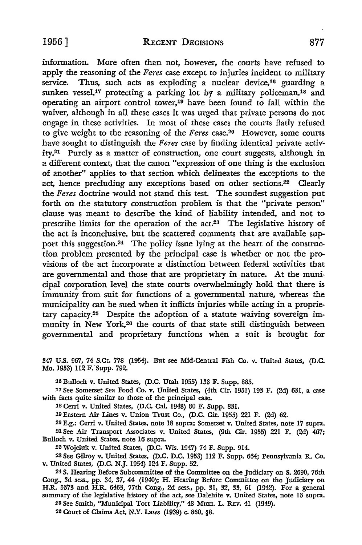information. More often than not, however, the courts have refused to apply the reasoning of the *Feres* case except to injuries incident to military service. Thus, such acts as exploding a nuclear device,<sup>16</sup> guarding a sunken vessel,<sup>17</sup> protecting a parking lot by a military policeman,<sup>18</sup> and operating an airport control tower,19 have been found to fall within the waiver, although in all these cases it was urged that private persons do not engage in these activities. In most of these cases the courts flatly refused to give weight to the reasoning of the *Feres* case.20 However, some courts have sought to distinguish the *Feres* case by finding identical private activity.21 Purely as a matter of construction, one court suggests, although in a different context, that the canon "expression of one thing is the exclusion of another" applies to that section which delineates the exceptions to the act, hence precluding any exceptions based on other sections.<sup>22</sup> Clearly the *Feres* doctrine would not stand this test. The soundest suggestion put forth on the statutory construction problem is that the "private person" clause was meant to describe the kind of liability intended, and not to prescribe limits for the operation of the act.23 The legislative history of the act is inconclusive, but the scattered comments that are available support this suggestion.<sup>24</sup> The policy issue lying at the heart of the construction problem presented by the principal case is whether or not the provisions of the act incorporate a distinction between federal activities that are governmental and those that are proprietary in nature. At the municipal corporation level the state courts overwhelmingly hold that there is immunity from suit for functions of a governmental nature, whereas the municipality can be sued when it inflicts injuries while acting in a proprietary capacity.25 Despite the adoption of a statute waiving sovereign immunity in New York,<sup>26</sup> the courts of that state still distinguish between governmental and proprietary functions when a suit is brought for

347 U.S. 967, 74 S.Ct. 778 (1954). But see Mid-Central Fish Co. v. United States, (D.C. Mo. 1953) 112 F. Supp. 792.

:16 Bulloch v. United States, (D.C. Utah 1955) 133 F. Supp. 885.

17 See Somerset Sea Food Co. v. United States, (4th Cir. 1951) 193 F. (2d) 631, a case with facts quite similar to those of the principal case.

18 Cerri v. United States, (D.C. Cal. 1948) 80 F. Supp. 831.

19 Eastern Air Lines v. Union Trust Co., (D.C. Cir. 1955) 221 F. (2d) 62 .

.20 E.g.: Cerri v. United States, note 18 supra; Somerset v. United States, note 17 supra .

.21 See Air Transport Associates v. United States, (9th Cir. 1955) 221 F. (2d) 467; Bulloch v. United States, note 16 supra.

.2.2 Wojciuk v. United States, (D.C. Wis. 1947) 74 F. Supp. 914 .

.23 See Gilroy v. United States, (D.C. D.C. 1953) 112 F. Supp. 664; Pennsylvania R. Co. v. United States, (D.C. N.J. 1954) 124 F. Supp. 52 .

.24 S. Hearing Before Subcommittee of the Committee on the Judiciary on S. 2690, 76th Cong., 3d sess., pp. 34, 37, 44 (1940); H. Hearing Before Committee on the Judiciary on H.R. 5373 and H.R. 6463, 77th Cong., 2d sess., pp. 31, 32, 33, 61 (1942). For a general summary of the legislative history of the act, see Dalehite v. United States, note 13 supra.

25 See Smith, "Municipal Tort Liability," 48 MICH. L. REV. 41 (1949).

26 Court of Claims Act, N.Y. Laws (1939) c. 860, §8.